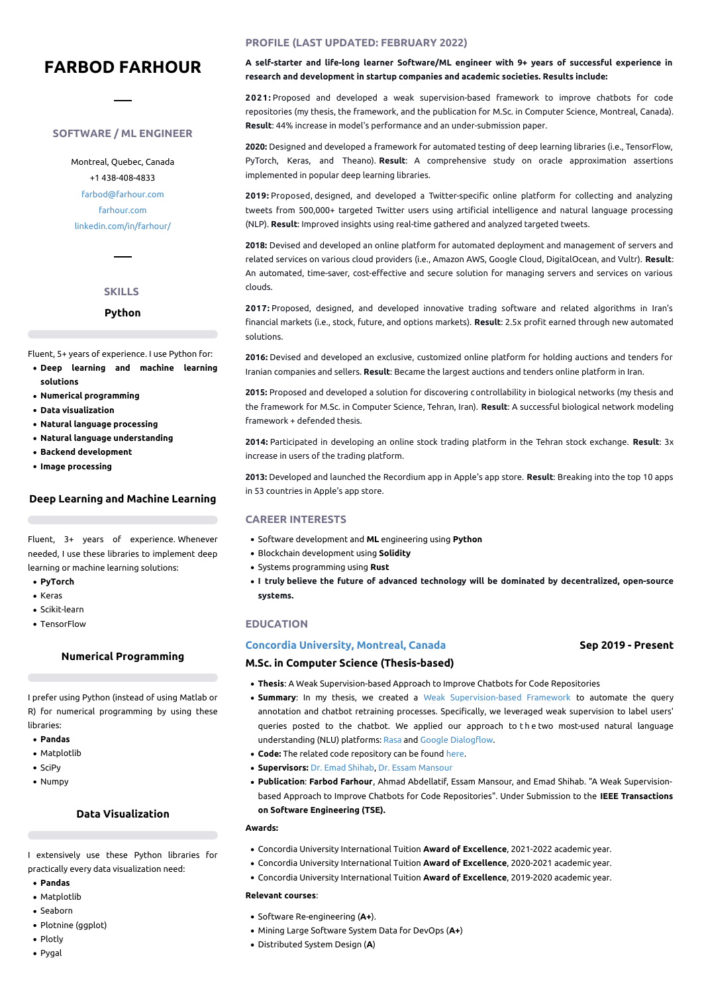# **FARBOD FARHOUR**

## **SOFTWARE /ML ENGINEER**

Montreal, Quebec, Canada +1 438-408-4833 [farbod@farhour.com](mailto:farbod@farhour.com) [farhour.com](https://farhour.com) [linkedin.com/in/farhour/](https://www.linkedin.com/in/farhour/)

## **SKILLS**

#### **Python**

Fluent, 5+ years of experience. I use Python for:

- **Deep learning and machine learning solutions**
- **Numerical programming**
- **Data visualization**
- **Natural language processing**
- **Natural language understanding**
- **Backend development**
- **Image processing**

#### **Deep Learning and Machine Learning**

Fluent, 3+ years of experience. Whenever needed, I use these libraries to implement deep learning or machine learning solutions:

- **PyTorch**
- Keras
- Scikit-learn
- TensorFlow

## **Numerical Programming**

I prefer using Python (instead of using Matlab or R) for numerical programming by using these libraries:

- **Pandas**
- Matplotlib
- $\bullet$  SciPy
- Numpy

### **Data Visualization**

I extensively use these Python libraries for practically every data visualization need:

- **Pandas**
- Matplotlib
- Seaborn
- Plotnine (ggplot)
- Plotly
- Pygal

## **PROFILE (LAST UPDATED: FEBRUARY 2022)**

**A self-starter and life-long learner Software/ML engineer with 9+ years of successful experience in research and development in startup companies and academic societies. Results include:**

**2021:** Proposed and developed a weak supervision-based framework to improve chatbots for code repositories (my thesis, the framework, and the publication for M.Sc. in Computer Science, Montreal, Canada). **Result**: 44% increase in model's performance and an under-submission paper.

**2020:** Designed and developed a framework for automated testing of deep learning libraries (i.e., TensorFlow, PyTorch, Keras, and Theano). **Result**: A comprehensive study on oracle approximation assertions implemented in popular deep learning libraries.

**2019:** Proposed, designed, and developed a Twitter-specific online platform for collecting and analyzing tweets from 500,000+ targeted Twitter users using artificial intelligence and natural language processing (NLP). **Result**: Improved insights using real-time gathered and analyzed targeted tweets.

**2018:** Devised and developed an online platform for automated deployment and management of servers and related services on various cloud providers (i.e., Amazon AWS, Google Cloud, DigitalOcean, and Vultr). **Result**: An automated, time-saver, cost-effective and secure solution for managing servers and services on various clouds.

**2017:** Proposed, designed, and developed innovative trading software and related algorithms in Iran's financial markets (i.e., stock, future, and options markets). **Result**: 2.5x profit earned through new automated solutions.

**2016:** Devised and developed an exclusive, customized online platform for holding auctions and tenders for Iranian companies and sellers. **Result**: Became the largest auctions and tenders online platform in Iran.

**2015:** Proposed and developed a solution for discovering c ontrollability in biological networks (my thesis and the framework for M.Sc. in Computer Science, Tehran, Iran). **Result**: A successful biological network modeling framework + defended thesis.

**2014:** Participated in developing an online stock trading platform inthe Tehran stock exchange. **Result**: 3x increase in users of the trading platform.

**2013:** Developed and launched the Recordium app in Apple's app store. **Result**: Breaking into the top 10 apps in 53 countries in Apple's app store.

#### **CAREER INTERESTS**

- Software development and **ML** engineering using **Python**
- Blockchain development using **Solidity**
- Systems programming using **Rust**
- **I truly believe the future of advanced technology will be dominated by decentralized, open-source systems.**

#### **EDUCATION**

#### **Concordia [University,](https://www.concordia.ca/ginacody.html) Montreal, Canada**

#### **Sep 2019 - Present**

## **M.Sc. in Computer Science (Thesis-based)**

- **Thesis**: A Weak Supervision-based Approach to Improve Chatbots for Code Repositories
- **Summary**: In my thesis, we created a Weak [Supervision-based](https://github.com/CoDS-GCS/AlphaBot) Framework to automate the query annotation and chatbot retraining processes. Specifically, we leveraged weak supervision to label users' queries posted to the chatbot. We applied our approach to th e two most-used natural language understanding (NLU) platforms: [Rasa](https://rasa.com/) and Google [Dialogflow.](https://cloud.google.com/dialogflow/)
- **Code:** The related code repository can be found [here](https://github.com/CoDS-GCS/AlphaBot).
- **Supervisors:** Dr. Emad [Shihab](http://das.encs.concordia.ca/members/emad-shihab/), Dr. Essam [Mansour](http://emansour.com/)
- **Publication**: **Farbod Farhour**, Ahmad Abdellatif, Essam Mansour, and Emad Shihab. "A Weak Supervision based Approach to Improve Chatbots for Code Repositories". Under Submission to the **IEEE Transactions on Software Engineering (TSE).**

#### **Awards:**

- Concordia University International Tuition **Award of Excellence**, 2021-2022 academic year.
- Concordia University International Tuition **Award of Excellence**, 2020-2021 academic year.
- Concordia University International Tuition **Award of Excellence**, 2019-2020 academic year.

#### **Relevant courses**:

- Software Re-engineering (**A+**).
- Mining Large Software System Data for DevOps (**A+**)
- Distributed System Design (**A**)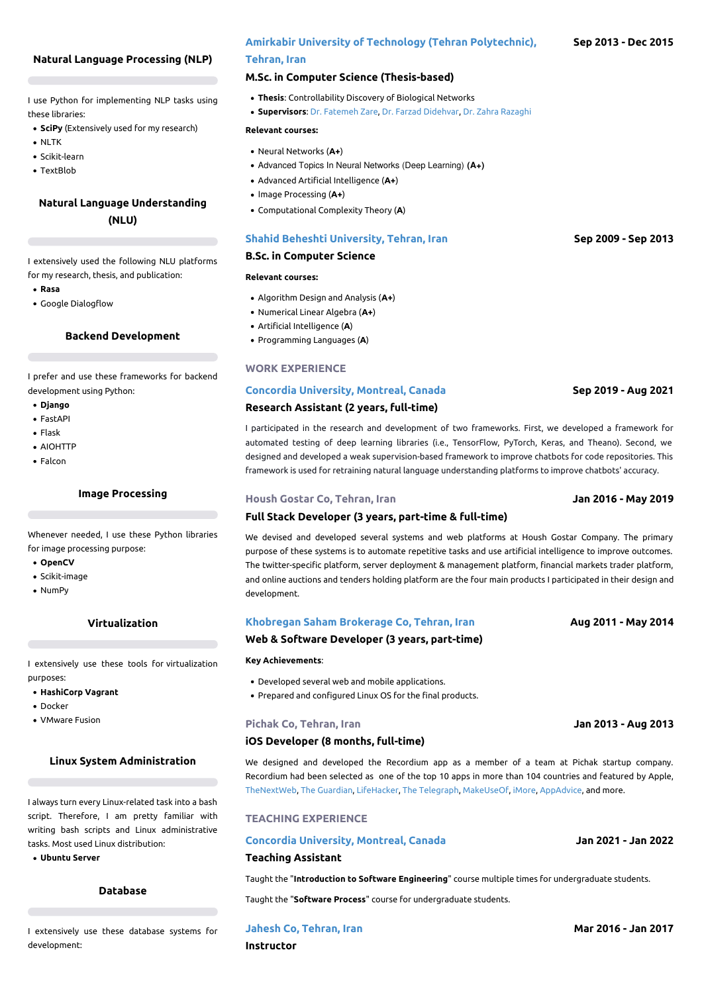## **Natural Language Processing (NLP)**

I use Python for implementing NLP tasks using these libraries:

- **SciPy** (Extensively used for my research)
- $\bullet$  NLTK
- Scikit-learn
- TextBlob

## **Natural Language Understanding (NLU)**

I extensively used the following NLU platforms for my research, thesis, and publication:

- **Rasa**
- Google Dialogflow

### **Backend Development**

I prefer and use these frameworks for backend development using Python:

- **Django**
- FastAPI
- Flask
- AIOHTTP
- Falcon

#### **Image Processing**

Whenever needed, I use these Python libraries for image processing purpose:

- **OpenCV**
- Scikit-image
- NumPy

## **Virtualization**

I extensively use these tools for virtualization purposes:

- **HashiCorp Vagrant**
- Docker
- VMware Fusion

## **Linux System Administration**

I always turn every Linux-related task into a bash script. Therefore, I am pretty familiar with writing bash scripts and Linux administrative tasks. Most used Linux distribution:

**Ubuntu Server**

## **Database**

I extensively use these database systems for development:

## **Amirkabir University of Technology (Tehran [Polytechnic\),](https://aut.ac.ir/en)**

## **Tehran, Iran**

## **M.Sc. in Computer Science (Thesis-based)**

- **Thesis**: Controllability Discovery of Biological Networks
- **Supervisors**: Dr. [Fatemeh](https://scholar.google.com/citations?user=0rwrLKkAAAAJ) Zare, Dr. Farzad [Didehvar](https://scholar.google.com/citations?user=t4BEsXwAAAAJ), Dr. Zahra [Razaghi](https://scholar.google.com/citations?user=Qy9UoCYAAAAJ)

#### **Relevant courses:**

- Neural Networks (**A+**)
- Advanced Topics In Neural Networks (Deep Learning) **(A+)**
- Advanced Artificial Intelligence (**A+**)
- Image Processing (**A+**)
- Computational Complexity Theory (**A**)

#### **Shahid Beheshti [University,](https://en.sbu.ac.ir/SitePages/Home.aspx) Tehran, Iran**

#### **B.Sc. in Computer Science**

#### **Relevant courses:**

- Algorithm Design and Analysis (**A+**)
- Numerical Linear Algebra (**A+**)
- Artificial Intelligence (**A**)
- Programming Languages (**A**)

## **WORK EXPERIENCE**

## **Concordia [University,](https://www.concordia.ca/ginacody.html) Montreal, Canada Research Assistant (2 years, full-time)**

I participated in the research and development of two frameworks. First, we developed a framework for automated testing of deep learning libraries (i.e., TensorFlow, PyTorch, Keras, and Theano). Second, we designed and developed a weak supervision-based framework to improve chatbots for code repositories. This framework is used for retraining natural language understanding platforms to improve chatbots' accuracy.

#### **Housh Gostar Co, Tehran, Iran**

### **Full Stack Developer (3 years, part-time & full-time)**

We devised and developed several systems and web platforms at Housh Gostar Company. The primary purpose of these systems is to automate repetitive tasks and use artificial intelligence to improve outcomes. The twitter-specific platform, server deployment & management platform, financial markets trader platform, and online auctions and tenders holding platform are the four main products I participated in their design and development.

#### **[Khobregan](https://www.khobregan.com/) Saham Brokerage Co, Tehran, Iran**

### **Web & Software Developer (3 years, part-time)**

#### **Key Achievements**:

- Developed several web and mobile applications.
- Prepared and configured Linux OS for the final products.

#### **Pichak Co, Tehran, Iran**

#### **iOS Developer (8 months, full-time)**

We designed and developed the Recordium app as a member of a team at Pichak startup company. Recordium had been selected as one of the top 10 apps in more than 104 countries and featured by Apple, [TheNextWeb](https://thenextweb.com/news/recordium-is-a-powerful-audio-recording-ios-app-that-lets-you-highlight-annotate-and-edit-clips-on-the-fly), The [Guardian,](https://www.theguardian.com/technology/appsblog/2013/may/31/best-iphone-ipad-apps-star-wars-musyc) [LifeHacker,](https://lifehacker.com/recordium-records-audio-lets-you-edit-it-right-on-your-510194122) The [Telegraph,](https://www.telegraph.co.uk/technology/mobile-app-reviews/10088714/Recordium-voice-recorder-app-review.html) [MakeUseOf](https://www.makeuseof.com/tag/recordium-highlights-annotates-your-voice-recordings-ios/), [iMore](https://www.imore.com/best-voice-memo-apps-ipad-captureaudio-recordium-and-more), [AppAdvice](https://appadvice.com/review/quickadvice-recordium), and more.

#### **TEACHING EXPERIENCE**

#### **Concordia [University,](https://www.concordia.ca/) Montreal, Canada**

## **Teaching Assistant**

Taught the "**Introduction to Software Engineering**" course multiple times for undergraduate students.

Taught the "**Software Process**" course for undergraduate students.

**Jahesh Co, [Tehran,](https://jahesh.academy/) Iran**

#### **Sep 2013 - Dec 2015**

## **Sep 2009 - Sep 2013**

**Sep 2019 - Aug 2021**

**Jan 2016 - May 2019**

## **Aug 2011 - May 2014**

**Jan 2013 - Aug 2013**

**Jan 2021 - Jan 2022**

**Mar 2016 - Jan 2017**